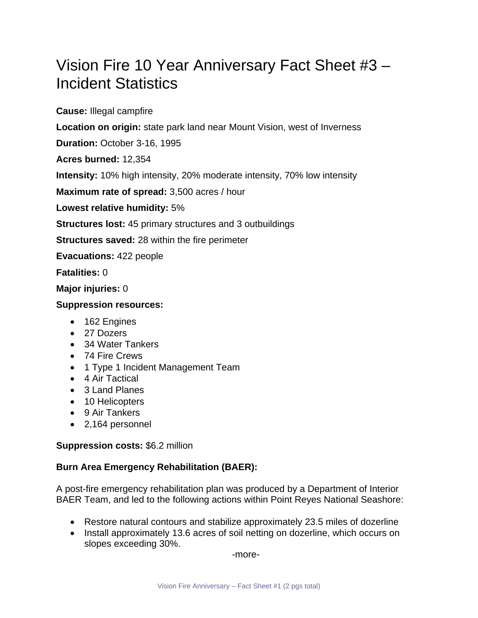## Vision Fire 10 Year Anniversary Fact Sheet #3 – Incident Statistics

**Cause:** Illegal campfire

**Location on origin:** state park land near Mount Vision, west of Inverness

**Duration:** October 3-16, 1995

**Acres burned:** 12,354

**Intensity:** 10% high intensity, 20% moderate intensity, 70% low intensity

**Maximum rate of spread:** 3,500 acres / hour

**Lowest relative humidity:** 5%

**Structures lost:** 45 primary structures and 3 outbuildings

**Structures saved:** 28 within the fire perimeter

**Evacuations:** 422 people

**Fatalities:** 0

**Major injuries:** 0

## **Suppression resources:**

- 162 Engines
- 27 Dozers
- 34 Water Tankers
- 74 Fire Crews
- 1 Type 1 Incident Management Team
- 4 Air Tactical
- 3 Land Planes
- 10 Helicopters
- 9 Air Tankers
- 2,164 personnel

## **Suppression costs:** \$6.2 million

## **Burn Area Emergency Rehabilitation (BAER):**

A post-fire emergency rehabilitation plan was produced by a Department of Interior BAER Team, and led to the following actions within Point Reyes National Seashore:

- Restore natural contours and stabilize approximately 23.5 miles of dozerline
- Install approximately 13.6 acres of soil netting on dozerline, which occurs on slopes exceeding 30%.

-more-